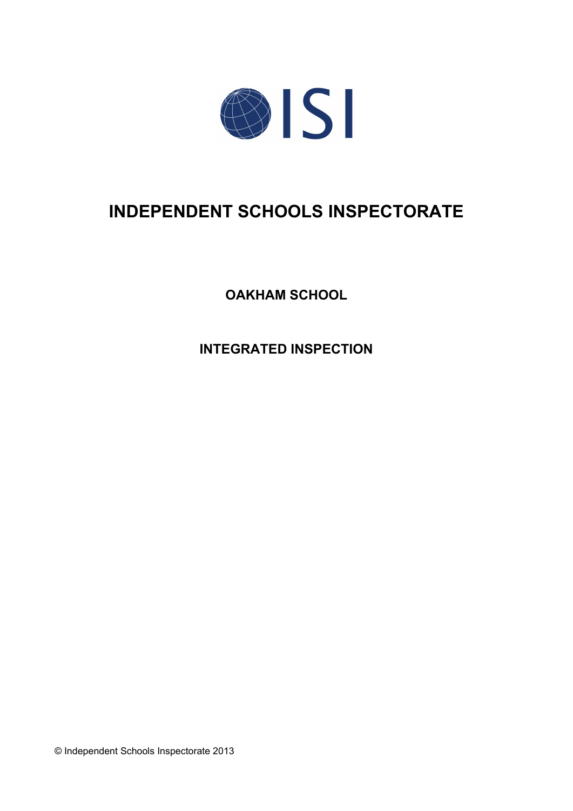

# **INDEPENDENT SCHOOLS INSPECTORATE**

**OAKHAM SCHOOL**

**INTEGRATED INSPECTION**

© Independent Schools Inspectorate 2013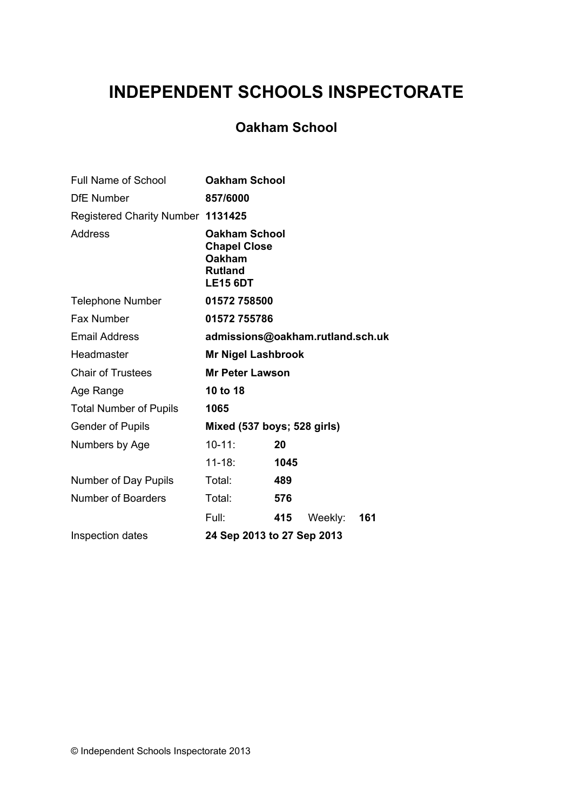# **INDEPENDENT SCHOOLS INSPECTORATE**

# **Oakham School**

| <b>Full Name of School</b>        | <b>Oakham School</b>                                                                       |      |         |     |
|-----------------------------------|--------------------------------------------------------------------------------------------|------|---------|-----|
| <b>DfE Number</b>                 | 857/6000                                                                                   |      |         |     |
| Registered Charity Number 1131425 |                                                                                            |      |         |     |
| Address                           | <b>Oakham School</b><br><b>Chapel Close</b><br>Oakham<br><b>Rutland</b><br><b>LE15 6DT</b> |      |         |     |
| <b>Telephone Number</b>           | 01572758500                                                                                |      |         |     |
| Fax Number                        | 01572 755786                                                                               |      |         |     |
| <b>Email Address</b>              | admissions@oakham.rutland.sch.uk                                                           |      |         |     |
| Headmaster                        | <b>Mr Nigel Lashbrook</b>                                                                  |      |         |     |
| <b>Chair of Trustees</b>          | <b>Mr Peter Lawson</b>                                                                     |      |         |     |
| Age Range                         | 10 to 18                                                                                   |      |         |     |
| <b>Total Number of Pupils</b>     | 1065                                                                                       |      |         |     |
| <b>Gender of Pupils</b>           | Mixed (537 boys; 528 girls)                                                                |      |         |     |
| Numbers by Age                    | $10 - 11$ :                                                                                | 20   |         |     |
|                                   | $11 - 18:$                                                                                 | 1045 |         |     |
| Number of Day Pupils              | Total:                                                                                     | 489  |         |     |
| Number of Boarders                | Total:                                                                                     | 576  |         |     |
|                                   | Full:                                                                                      | 415  | Weekly: | 161 |
| Inspection dates                  | 24 Sep 2013 to 27 Sep 2013                                                                 |      |         |     |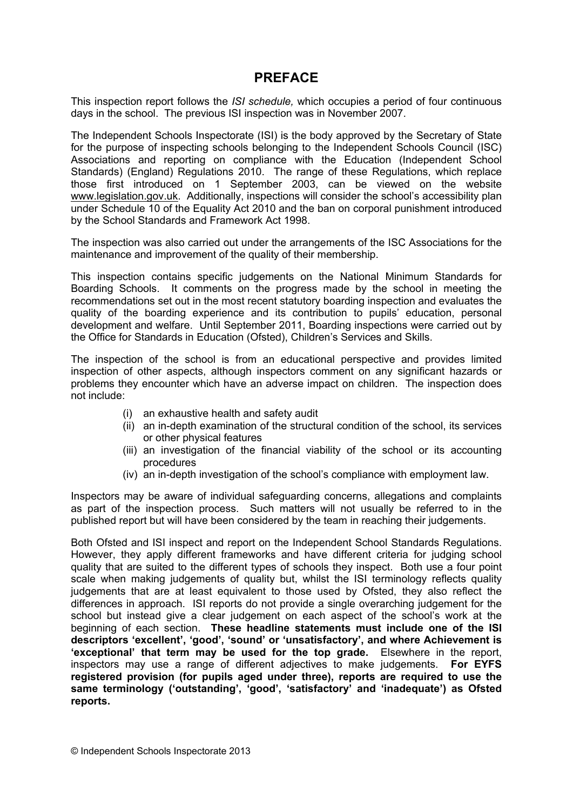## **PREFACE**

This inspection report follows the *ISI schedule,* which occupies a period of four continuous days in the school. The previous ISI inspection was in November 2007.

The Independent Schools Inspectorate (ISI) is the body approved by the Secretary of State for the purpose of inspecting schools belonging to the Independent Schools Council (ISC) Associations and reporting on compliance with the Education (Independent School Standards) (England) Regulations 2010. The range of these Regulations, which replace those first introduced on 1 September 2003, can be viewed on the website [www.legislation.gov.uk.](http://www.legislation.gov.uk) Additionally, inspections will consider the school's accessibility plan under Schedule 10 of the Equality Act 2010 and the ban on corporal punishment introduced by the School Standards and Framework Act 1998.

The inspection was also carried out under the arrangements of the ISC Associations for the maintenance and improvement of the quality of their membership.

This inspection contains specific judgements on the National Minimum Standards for Boarding Schools. It comments on the progress made by the school in meeting the recommendations set out in the most recent statutory boarding inspection and evaluates the quality of the boarding experience and its contribution to pupils' education, personal development and welfare. Until September 2011, Boarding inspections were carried out by the Office for Standards in Education (Ofsted), Children's Services and Skills.

The inspection of the school is from an educational perspective and provides limited inspection of other aspects, although inspectors comment on any significant hazards or problems they encounter which have an adverse impact on children. The inspection does not include:

- (i) an exhaustive health and safety audit
- (ii) an in-depth examination of the structural condition of the school, its services or other physical features
- (iii) an investigation of the financial viability of the school or its accounting procedures
- (iv) an in-depth investigation of the school's compliance with employment law.

Inspectors may be aware of individual safeguarding concerns, allegations and complaints as part of the inspection process. Such matters will not usually be referred to in the published report but will have been considered by the team in reaching their judgements.

Both Ofsted and ISI inspect and report on the Independent School Standards Regulations. However, they apply different frameworks and have different criteria for judging school quality that are suited to the different types of schools they inspect. Both use a four point scale when making judgements of quality but, whilst the ISI terminology reflects quality judgements that are at least equivalent to those used by Ofsted, they also reflect the differences in approach. ISI reports do not provide a single overarching judgement for the school but instead give a clear judgement on each aspect of the school's work at the beginning of each section. **These headline statements must include one of the ISI descriptors 'excellent', 'good', 'sound' or 'unsatisfactory', and where Achievement is 'exceptional' that term may be used for the top grade.** Elsewhere in the report, inspectors may use a range of different adjectives to make judgements. **For EYFS registered provision (for pupils aged under three), reports are required to use the same terminology ('outstanding', 'good', 'satisfactory' and 'inadequate') as Ofsted reports.**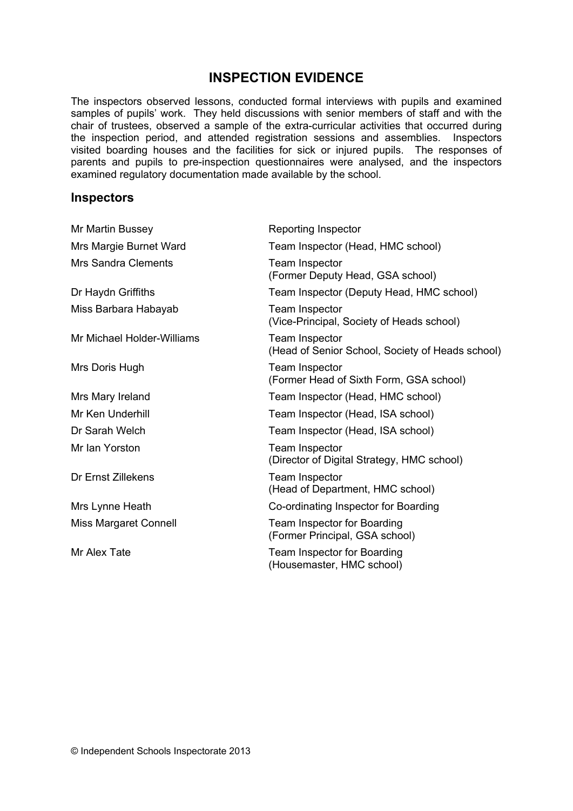# **INSPECTION EVIDENCE**

The inspectors observed lessons, conducted formal interviews with pupils and examined samples of pupils' work. They held discussions with senior members of staff and with the chair of trustees, observed a sample of the extra-curricular activities that occurred during the inspection period, and attended registration sessions and assemblies. Inspectors visited boarding houses and the facilities for sick or injured pupils. The responses of parents and pupils to pre-inspection questionnaires were analysed, and the inspectors examined regulatory documentation made available by the school.

#### **Inspectors**

| Reporting Inspector                                                       |
|---------------------------------------------------------------------------|
| Team Inspector (Head, HMC school)                                         |
| <b>Team Inspector</b><br>(Former Deputy Head, GSA school)                 |
| Team Inspector (Deputy Head, HMC school)                                  |
| <b>Team Inspector</b><br>(Vice-Principal, Society of Heads school)        |
| <b>Team Inspector</b><br>(Head of Senior School, Society of Heads school) |
| <b>Team Inspector</b><br>(Former Head of Sixth Form, GSA school)          |
| Team Inspector (Head, HMC school)                                         |
| Team Inspector (Head, ISA school)                                         |
| Team Inspector (Head, ISA school)                                         |
| Team Inspector<br>(Director of Digital Strategy, HMC school)              |
| <b>Team Inspector</b><br>(Head of Department, HMC school)                 |
| Co-ordinating Inspector for Boarding                                      |
| Team Inspector for Boarding<br>(Former Principal, GSA school)             |
| Team Inspector for Boarding<br>(Housemaster, HMC school)                  |
|                                                                           |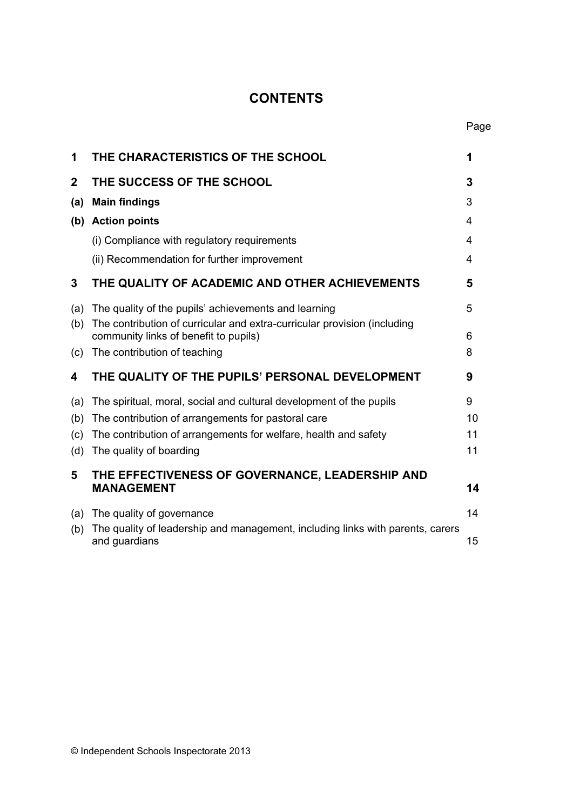# **CONTENTS**

| THE CHARACTERISTICS OF THE SCHOOL                                    | 1                                                                                                                                                          |
|----------------------------------------------------------------------|------------------------------------------------------------------------------------------------------------------------------------------------------------|
| THE SUCCESS OF THE SCHOOL                                            | 3                                                                                                                                                          |
| <b>Main findings</b>                                                 | 3                                                                                                                                                          |
| (b) Action points                                                    | 4                                                                                                                                                          |
| (i) Compliance with regulatory requirements                          | 4                                                                                                                                                          |
| (ii) Recommendation for further improvement                          | 4                                                                                                                                                          |
| THE QUALITY OF ACADEMIC AND OTHER ACHIEVEMENTS                       | 5                                                                                                                                                          |
| The quality of the pupils' achievements and learning                 | 5                                                                                                                                                          |
| community links of benefit to pupils)                                | 6                                                                                                                                                          |
| The contribution of teaching                                         | 8                                                                                                                                                          |
| THE QUALITY OF THE PUPILS' PERSONAL DEVELOPMENT                      | 9                                                                                                                                                          |
| The spiritual, moral, social and cultural development of the pupils  | 9                                                                                                                                                          |
| The contribution of arrangements for pastoral care                   | 10                                                                                                                                                         |
| The contribution of arrangements for welfare, health and safety      | 11                                                                                                                                                         |
| The quality of boarding                                              | 11                                                                                                                                                         |
| THE EFFECTIVENESS OF GOVERNANCE, LEADERSHIP AND<br><b>MANAGEMENT</b> | 14                                                                                                                                                         |
| The quality of governance                                            | 14                                                                                                                                                         |
| and guardians                                                        | 15                                                                                                                                                         |
|                                                                      | The contribution of curricular and extra-curricular provision (including<br>The quality of leadership and management, including links with parents, carers |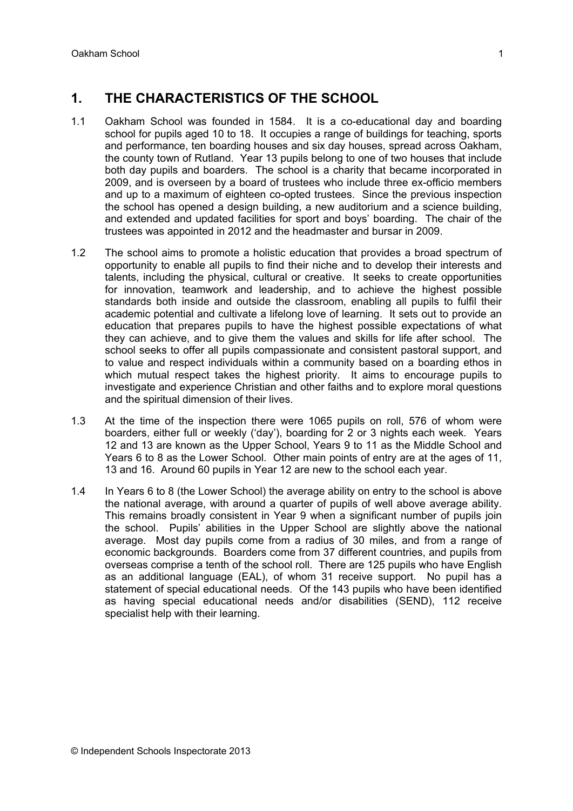# **1. THE CHARACTERISTICS OF THE SCHOOL**

- 1.1 Oakham School was founded in 1584. It is a co-educational day and boarding school for pupils aged 10 to 18. It occupies a range of buildings for teaching, sports and performance, ten boarding houses and six day houses, spread across Oakham, the county town of Rutland. Year 13 pupils belong to one of two houses that include both day pupils and boarders. The school is a charity that became incorporated in 2009, and is overseen by a board of trustees who include three ex-officio members and up to a maximum of eighteen co-opted trustees. Since the previous inspection the school has opened a design building, a new auditorium and a science building, and extended and updated facilities for sport and boys' boarding. The chair of the trustees was appointed in 2012 and the headmaster and bursar in 2009.
- 1.2 The school aims to promote a holistic education that provides a broad spectrum of opportunity to enable all pupils to find their niche and to develop their interests and talents, including the physical, cultural or creative. It seeks to create opportunities for innovation, teamwork and leadership, and to achieve the highest possible standards both inside and outside the classroom, enabling all pupils to fulfil their academic potential and cultivate a lifelong love of learning. It sets out to provide an education that prepares pupils to have the highest possible expectations of what they can achieve, and to give them the values and skills for life after school. The school seeks to offer all pupils compassionate and consistent pastoral support, and to value and respect individuals within a community based on a boarding ethos in which mutual respect takes the highest priority. It aims to encourage pupils to investigate and experience Christian and other faiths and to explore moral questions and the spiritual dimension of their lives.
- 1.3 At the time of the inspection there were 1065 pupils on roll, 576 of whom were boarders, either full or weekly ('day'), boarding for 2 or 3 nights each week. Years 12 and 13 are known as the Upper School, Years 9 to 11 as the Middle School and Years 6 to 8 as the Lower School. Other main points of entry are at the ages of 11, 13 and 16. Around 60 pupils in Year 12 are new to the school each year.
- 1.4 In Years 6 to 8 (the Lower School) the average ability on entry to the school is above the national average, with around a quarter of pupils of well above average ability. This remains broadly consistent in Year 9 when a significant number of pupils join the school. Pupils' abilities in the Upper School are slightly above the national average. Most day pupils come from a radius of 30 miles, and from a range of economic backgrounds. Boarders come from 37 different countries, and pupils from overseas comprise a tenth of the school roll. There are 125 pupils who have English as an additional language (EAL), of whom 31 receive support. No pupil has a statement of special educational needs. Of the 143 pupils who have been identified as having special educational needs and/or disabilities (SEND), 112 receive specialist help with their learning.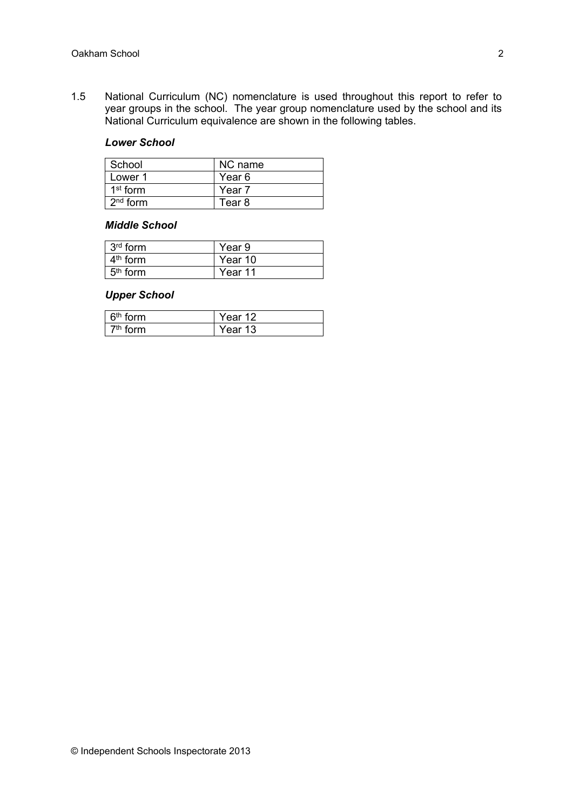1.5 National Curriculum (NC) nomenclature is used throughout this report to refer to year groups in the school. The year group nomenclature used by the school and its National Curriculum equivalence are shown in the following tables.

#### *Lower School*

| School     | NC name           |
|------------|-------------------|
| Lower 1    | Year 6            |
| $1st$ form | Year <sub>7</sub> |
| $2nd$ form | Tear 8            |

#### *Middle School*

| $3rd$ form           | Year 9  |
|----------------------|---------|
| 4 <sup>th</sup> form | Year 10 |
| $5th$ form           | Year 11 |

#### *Upper School*

| $\sim$<br>orm<br>$6^{\text{m}}$ to | Year 12 |
|------------------------------------|---------|
| רnn.<br>ีแเร                       | Ƴear 13 |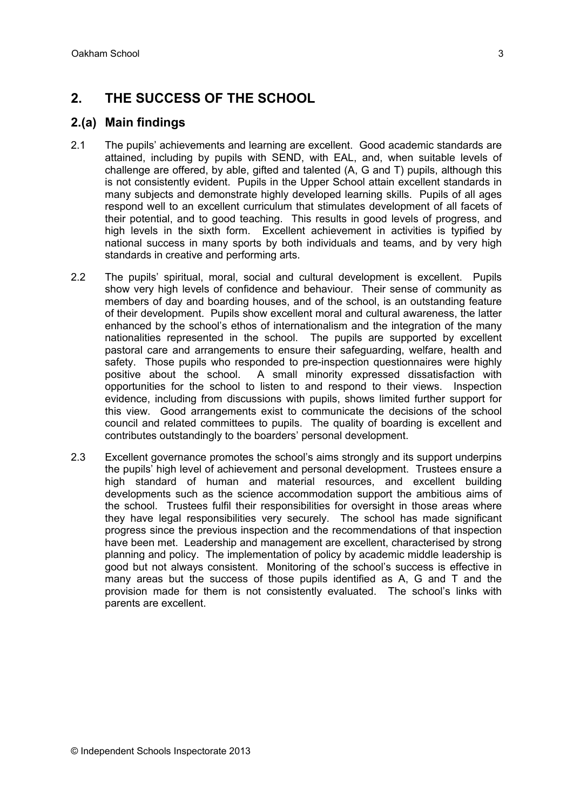# **2. THE SUCCESS OF THE SCHOOL**

### **2.(a) Main findings**

- 2.1 The pupils' achievements and learning are excellent. Good academic standards are attained, including by pupils with SEND, with EAL, and, when suitable levels of challenge are offered, by able, gifted and talented (A, G and T) pupils, although this is not consistently evident. Pupils in the Upper School attain excellent standards in many subjects and demonstrate highly developed learning skills. Pupils of all ages respond well to an excellent curriculum that stimulates development of all facets of their potential, and to good teaching. This results in good levels of progress, and high levels in the sixth form. Excellent achievement in activities is typified by national success in many sports by both individuals and teams, and by very high standards in creative and performing arts.
- 2.2 The pupils' spiritual, moral, social and cultural development is excellent. Pupils show very high levels of confidence and behaviour. Their sense of community as members of day and boarding houses, and of the school, is an outstanding feature of their development. Pupils show excellent moral and cultural awareness, the latter enhanced by the school's ethos of internationalism and the integration of the many nationalities represented in the school. The pupils are supported by excellent pastoral care and arrangements to ensure their safeguarding, welfare, health and safety. Those pupils who responded to pre-inspection questionnaires were highly positive about the school. A small minority expressed dissatisfaction with opportunities for the school to listen to and respond to their views. Inspection evidence, including from discussions with pupils, shows limited further support for this view. Good arrangements exist to communicate the decisions of the school council and related committees to pupils. The quality of boarding is excellent and contributes outstandingly to the boarders' personal development.
- 2.3 Excellent governance promotes the school's aims strongly and its support underpins the pupils' high level of achievement and personal development. Trustees ensure a high standard of human and material resources, and excellent building developments such as the science accommodation support the ambitious aims of the school. Trustees fulfil their responsibilities for oversight in those areas where they have legal responsibilities very securely. The school has made significant progress since the previous inspection and the recommendations of that inspection have been met. Leadership and management are excellent, characterised by strong planning and policy. The implementation of policy by academic middle leadership is good but not always consistent. Monitoring of the school's success is effective in many areas but the success of those pupils identified as A, G and T and the provision made for them is not consistently evaluated. The school's links with parents are excellent.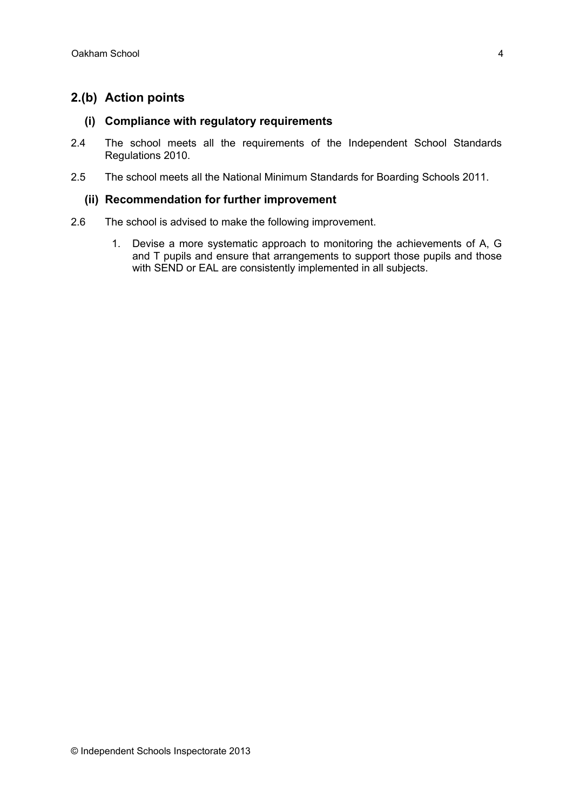# **2.(b) Action points**

#### **(i) Compliance with regulatory requirements**

- 2.4 The school meets all the requirements of the Independent School Standards Regulations 2010.
- 2.5 The school meets all the National Minimum Standards for Boarding Schools 2011.

#### **(ii) Recommendation for further improvement**

- 2.6 The school is advised to make the following improvement.
	- 1. Devise a more systematic approach to monitoring the achievements of A, G and T pupils and ensure that arrangements to support those pupils and those with SEND or EAL are consistently implemented in all subjects.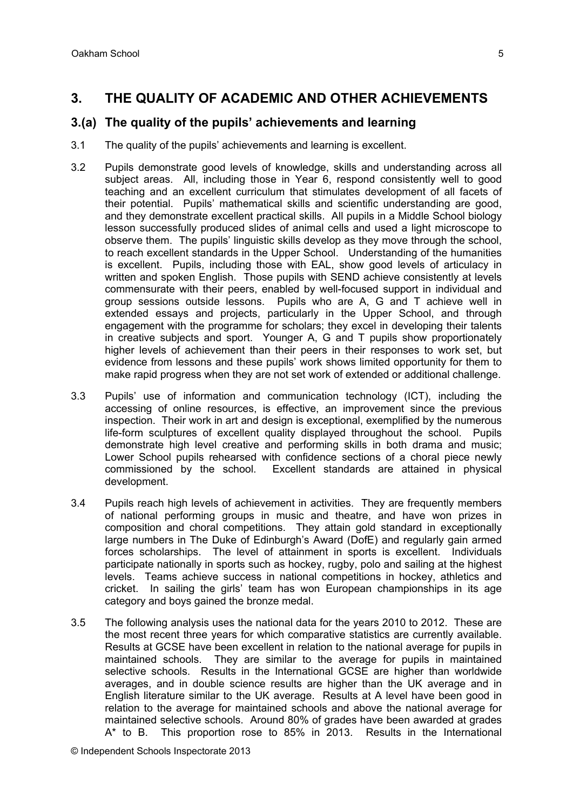# **3.(a) The quality of the pupils' achievements and learning**

- 3.1 The quality of the pupils' achievements and learning is excellent.
- 3.2 Pupils demonstrate good levels of knowledge, skills and understanding across all subject areas. All, including those in Year 6, respond consistently well to good teaching and an excellent curriculum that stimulates development of all facets of their potential. Pupils' mathematical skills and scientific understanding are good, and they demonstrate excellent practical skills. All pupils in a Middle School biology lesson successfully produced slides of animal cells and used a light microscope to observe them. The pupils' linguistic skills develop as they move through the school, to reach excellent standards in the Upper School. Understanding of the humanities is excellent. Pupils, including those with EAL, show good levels of articulacy in written and spoken English. Those pupils with SEND achieve consistently at levels commensurate with their peers, enabled by well-focused support in individual and group sessions outside lessons. Pupils who are A, G and T achieve well in extended essays and projects, particularly in the Upper School, and through engagement with the programme for scholars; they excel in developing their talents in creative subjects and sport. Younger A, G and T pupils show proportionately higher levels of achievement than their peers in their responses to work set, but evidence from lessons and these pupils' work shows limited opportunity for them to make rapid progress when they are not set work of extended or additional challenge.
- 3.3 Pupils' use of information and communication technology (ICT), including the accessing of online resources, is effective, an improvement since the previous inspection. Their work in art and design is exceptional, exemplified by the numerous life-form sculptures of excellent quality displayed throughout the school. Pupils demonstrate high level creative and performing skills in both drama and music; Lower School pupils rehearsed with confidence sections of a choral piece newly commissioned by the school. Excellent standards are attained in physical development.
- 3.4 Pupils reach high levels of achievement in activities. They are frequently members of national performing groups in music and theatre, and have won prizes in composition and choral competitions. They attain gold standard in exceptionally large numbers in The Duke of Edinburgh's Award (DofE) and regularly gain armed forces scholarships. The level of attainment in sports is excellent. Individuals participate nationally in sports such as hockey, rugby, polo and sailing at the highest levels. Teams achieve success in national competitions in hockey, athletics and cricket. In sailing the girls' team has won European championships in its age category and boys gained the bronze medal.
- 3.5 The following analysis uses the national data for the years 2010 to 2012. These are the most recent three years for which comparative statistics are currently available. Results at GCSE have been excellent in relation to the national average for pupils in maintained schools. They are similar to the average for pupils in maintained selective schools. Results in the International GCSE are higher than worldwide averages, and in double science results are higher than the UK average and in English literature similar to the UK average. Results at A level have been good in relation to the average for maintained schools and above the national average for maintained selective schools. Around 80% of grades have been awarded at grades A\* to B. This proportion rose to 85% in 2013. Results in the International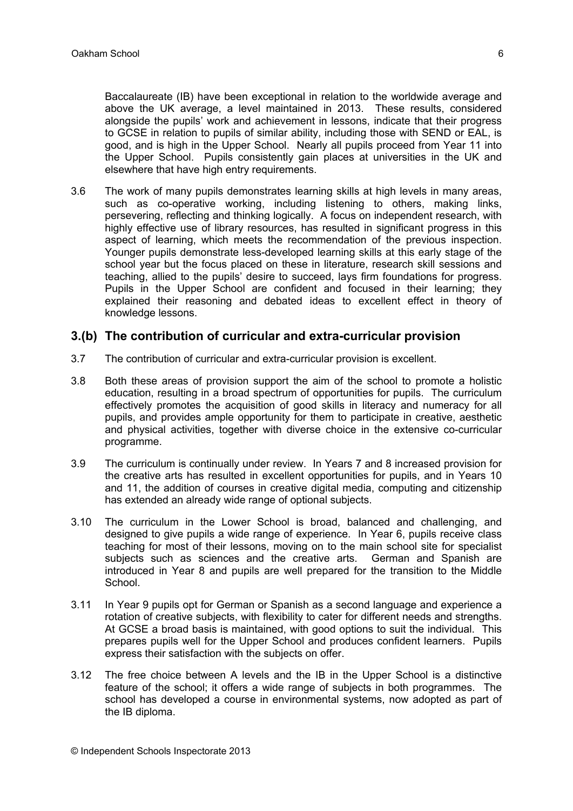Baccalaureate (IB) have been exceptional in relation to the worldwide average and above the UK average, a level maintained in 2013. These results, considered alongside the pupils' work and achievement in lessons, indicate that their progress to GCSE in relation to pupils of similar ability, including those with SEND or EAL, is good, and is high in the Upper School. Nearly all pupils proceed from Year 11 into the Upper School. Pupils consistently gain places at universities in the UK and elsewhere that have high entry requirements.

3.6 The work of many pupils demonstrates learning skills at high levels in many areas, such as co-operative working, including listening to others, making links, persevering, reflecting and thinking logically. A focus on independent research, with highly effective use of library resources, has resulted in significant progress in this aspect of learning, which meets the recommendation of the previous inspection. Younger pupils demonstrate less-developed learning skills at this early stage of the school year but the focus placed on these in literature, research skill sessions and teaching, allied to the pupils' desire to succeed, lays firm foundations for progress. Pupils in the Upper School are confident and focused in their learning; they explained their reasoning and debated ideas to excellent effect in theory of knowledge lessons.

#### **3.(b) The contribution of curricular and extra-curricular provision**

- 3.7 The contribution of curricular and extra-curricular provision is excellent.
- 3.8 Both these areas of provision support the aim of the school to promote a holistic education, resulting in a broad spectrum of opportunities for pupils. The curriculum effectively promotes the acquisition of good skills in literacy and numeracy for all pupils, and provides ample opportunity for them to participate in creative, aesthetic and physical activities, together with diverse choice in the extensive co-curricular programme.
- 3.9 The curriculum is continually under review. In Years 7 and 8 increased provision for the creative arts has resulted in excellent opportunities for pupils, and in Years 10 and 11, the addition of courses in creative digital media, computing and citizenship has extended an already wide range of optional subjects.
- 3.10 The curriculum in the Lower School is broad, balanced and challenging, and designed to give pupils a wide range of experience. In Year 6, pupils receive class teaching for most of their lessons, moving on to the main school site for specialist subjects such as sciences and the creative arts. German and Spanish are introduced in Year 8 and pupils are well prepared for the transition to the Middle School.
- 3.11 In Year 9 pupils opt for German or Spanish as a second language and experience a rotation of creative subjects, with flexibility to cater for different needs and strengths. At GCSE a broad basis is maintained, with good options to suit the individual. This prepares pupils well for the Upper School and produces confident learners. Pupils express their satisfaction with the subjects on offer.
- 3.12 The free choice between A levels and the IB in the Upper School is a distinctive feature of the school; it offers a wide range of subjects in both programmes. The school has developed a course in environmental systems, now adopted as part of the IB diploma.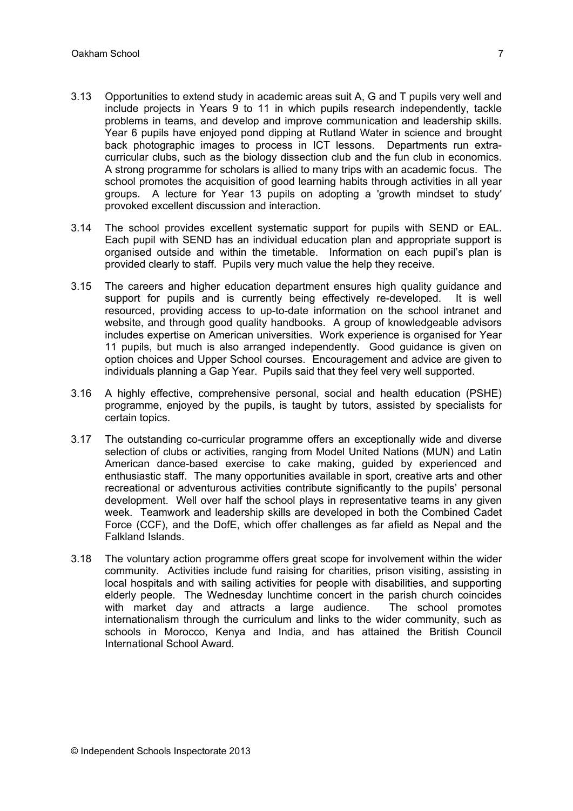- 3.13 Opportunities to extend study in academic areas suit A, G and T pupils very well and include projects in Years 9 to 11 in which pupils research independently, tackle problems in teams, and develop and improve communication and leadership skills. Year 6 pupils have enjoyed pond dipping at Rutland Water in science and brought back photographic images to process in ICT lessons. Departments run extracurricular clubs, such as the biology dissection club and the fun club in economics. A strong programme for scholars is allied to many trips with an academic focus. The school promotes the acquisition of good learning habits through activities in all year groups. A lecture for Year 13 pupils on adopting a 'growth mindset to study' provoked excellent discussion and interaction.
- 3.14 The school provides excellent systematic support for pupils with SEND or EAL. Each pupil with SEND has an individual education plan and appropriate support is organised outside and within the timetable. Information on each pupil's plan is provided clearly to staff. Pupils very much value the help they receive.
- 3.15 The careers and higher education department ensures high quality guidance and support for pupils and is currently being effectively re-developed. It is well resourced, providing access to up-to-date information on the school intranet and website, and through good quality handbooks. A group of knowledgeable advisors includes expertise on American universities. Work experience is organised for Year 11 pupils, but much is also arranged independently. Good guidance is given on option choices and Upper School courses. Encouragement and advice are given to individuals planning a Gap Year. Pupils said that they feel very well supported.
- 3.16 A highly effective, comprehensive personal, social and health education (PSHE) programme, enjoyed by the pupils, is taught by tutors, assisted by specialists for certain topics.
- 3.17 The outstanding co-curricular programme offers an exceptionally wide and diverse selection of clubs or activities, ranging from Model United Nations (MUN) and Latin American dance-based exercise to cake making, guided by experienced and enthusiastic staff. The many opportunities available in sport, creative arts and other recreational or adventurous activities contribute significantly to the pupils' personal development. Well over half the school plays in representative teams in any given week. Teamwork and leadership skills are developed in both the Combined Cadet Force (CCF), and the DofE, which offer challenges as far afield as Nepal and the Falkland Islands.
- 3.18 The voluntary action programme offers great scope for involvement within the wider community. Activities include fund raising for charities, prison visiting, assisting in local hospitals and with sailing activities for people with disabilities, and supporting elderly people. The Wednesday lunchtime concert in the parish church coincides with market day and attracts a large audience. The school promotes internationalism through the curriculum and links to the wider community, such as schools in Morocco, Kenya and India, and has attained the British Council International School Award.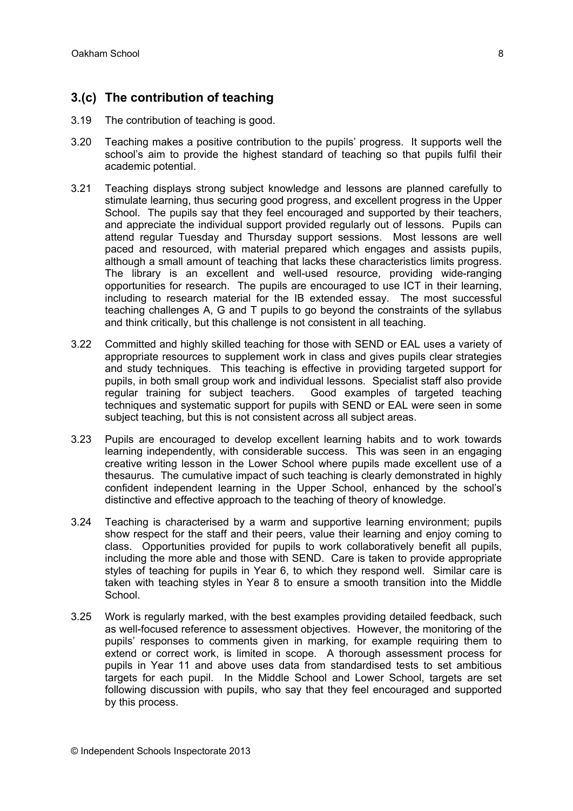# **3.(c) The contribution of teaching**

- 3.19 The contribution of teaching is good.
- 3.20 Teaching makes a positive contribution to the pupils' progress. It supports well the school's aim to provide the highest standard of teaching so that pupils fulfil their academic potential.
- 3.21 Teaching displays strong subject knowledge and lessons are planned carefully to stimulate learning, thus securing good progress, and excellent progress in the Upper School. The pupils say that they feel encouraged and supported by their teachers, and appreciate the individual support provided regularly out of lessons. Pupils can attend regular Tuesday and Thursday support sessions. Most lessons are well paced and resourced, with material prepared which engages and assists pupils, although a small amount of teaching that lacks these characteristics limits progress. The library is an excellent and well-used resource, providing wide-ranging opportunities for research. The pupils are encouraged to use ICT in their learning, including to research material for the IB extended essay. The most successful teaching challenges A, G and T pupils to go beyond the constraints of the syllabus and think critically, but this challenge is not consistent in all teaching.
- 3.22 Committed and highly skilled teaching for those with SEND or EAL uses a variety of appropriate resources to supplement work in class and gives pupils clear strategies and study techniques. This teaching is effective in providing targeted support for pupils, in both small group work and individual lessons. Specialist staff also provide regular training for subject teachers. Good examples of targeted teaching techniques and systematic support for pupils with SEND or EAL were seen in some subject teaching, but this is not consistent across all subject areas.
- 3.23 Pupils are encouraged to develop excellent learning habits and to work towards learning independently, with considerable success. This was seen in an engaging creative writing lesson in the Lower School where pupils made excellent use of a thesaurus. The cumulative impact of such teaching is clearly demonstrated in highly confident independent learning in the Upper School, enhanced by the school's distinctive and effective approach to the teaching of theory of knowledge.
- 3.24 Teaching is characterised by a warm and supportive learning environment; pupils show respect for the staff and their peers, value their learning and enjoy coming to class. Opportunities provided for pupils to work collaboratively benefit all pupils, including the more able and those with SEND. Care is taken to provide appropriate styles of teaching for pupils in Year 6, to which they respond well. Similar care is taken with teaching styles in Year 8 to ensure a smooth transition into the Middle School.
- 3.25 Work is regularly marked, with the best examples providing detailed feedback, such as well-focused reference to assessment objectives. However, the monitoring of the pupils' responses to comments given in marking, for example requiring them to extend or correct work, is limited in scope. A thorough assessment process for pupils in Year 11 and above uses data from standardised tests to set ambitious targets for each pupil. In the Middle School and Lower School, targets are set following discussion with pupils, who say that they feel encouraged and supported by this process.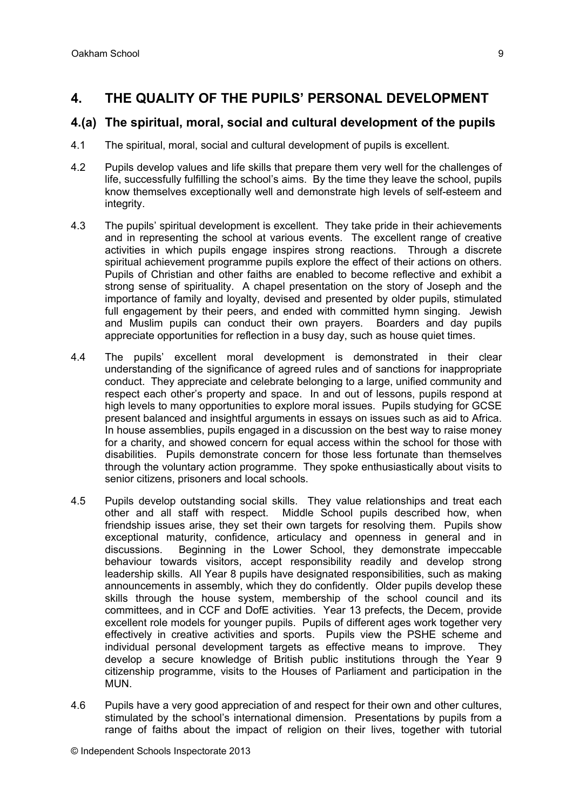# **4. THE QUALITY OF THE PUPILS' PERSONAL DEVELOPMENT**

#### **4.(a) The spiritual, moral, social and cultural development of the pupils**

- 4.1 The spiritual, moral, social and cultural development of pupils is excellent.
- 4.2 Pupils develop values and life skills that prepare them very well for the challenges of life, successfully fulfilling the school's aims. By the time they leave the school, pupils know themselves exceptionally well and demonstrate high levels of self-esteem and integrity.
- 4.3 The pupils' spiritual development is excellent. They take pride in their achievements and in representing the school at various events. The excellent range of creative activities in which pupils engage inspires strong reactions. Through a discrete spiritual achievement programme pupils explore the effect of their actions on others. Pupils of Christian and other faiths are enabled to become reflective and exhibit a strong sense of spirituality. A chapel presentation on the story of Joseph and the importance of family and loyalty, devised and presented by older pupils, stimulated full engagement by their peers, and ended with committed hymn singing. Jewish and Muslim pupils can conduct their own prayers. Boarders and day pupils appreciate opportunities for reflection in a busy day, such as house quiet times.
- 4.4 The pupils' excellent moral development is demonstrated in their clear understanding of the significance of agreed rules and of sanctions for inappropriate conduct. They appreciate and celebrate belonging to a large, unified community and respect each other's property and space. In and out of lessons, pupils respond at high levels to many opportunities to explore moral issues. Pupils studying for GCSE present balanced and insightful arguments in essays on issues such as aid to Africa. In house assemblies, pupils engaged in a discussion on the best way to raise money for a charity, and showed concern for equal access within the school for those with disabilities. Pupils demonstrate concern for those less fortunate than themselves through the voluntary action programme. They spoke enthusiastically about visits to senior citizens, prisoners and local schools.
- 4.5 Pupils develop outstanding social skills. They value relationships and treat each other and all staff with respect. Middle School pupils described how, when friendship issues arise, they set their own targets for resolving them. Pupils show exceptional maturity, confidence, articulacy and openness in general and in discussions. Beginning in the Lower School, they demonstrate impeccable behaviour towards visitors, accept responsibility readily and develop strong leadership skills. All Year 8 pupils have designated responsibilities, such as making announcements in assembly, which they do confidently. Older pupils develop these skills through the house system, membership of the school council and its committees, and in CCF and DofE activities. Year 13 prefects, the Decem, provide excellent role models for younger pupils. Pupils of different ages work together very effectively in creative activities and sports. Pupils view the PSHE scheme and individual personal development targets as effective means to improve. They develop a secure knowledge of British public institutions through the Year 9 citizenship programme, visits to the Houses of Parliament and participation in the MUN.
- 4.6 Pupils have a very good appreciation of and respect for their own and other cultures, stimulated by the school's international dimension. Presentations by pupils from a range of faiths about the impact of religion on their lives, together with tutorial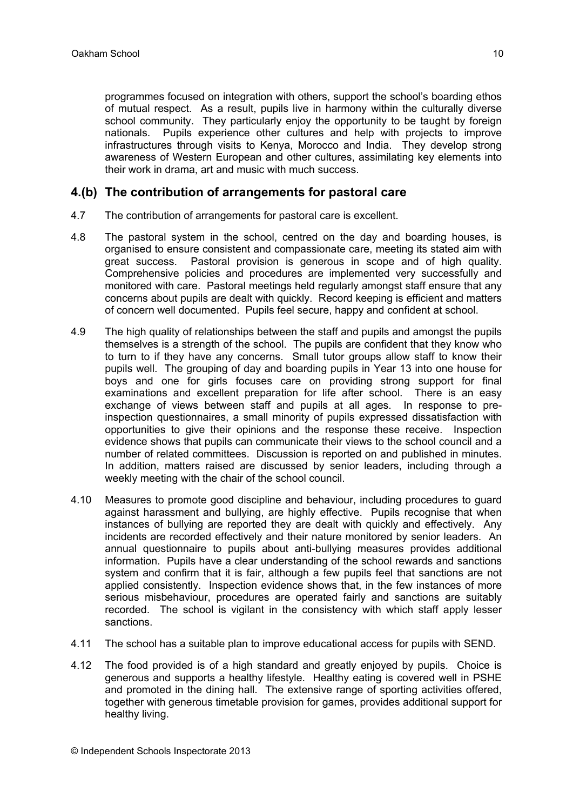programmes focused on integration with others, support the school's boarding ethos of mutual respect. As a result, pupils live in harmony within the culturally diverse school community. They particularly enjoy the opportunity to be taught by foreign nationals. Pupils experience other cultures and help with projects to improve infrastructures through visits to Kenya, Morocco and India. They develop strong awareness of Western European and other cultures, assimilating key elements into their work in drama, art and music with much success.

#### **4.(b) The contribution of arrangements for pastoral care**

- 4.7 The contribution of arrangements for pastoral care is excellent.
- 4.8 The pastoral system in the school, centred on the day and boarding houses, is organised to ensure consistent and compassionate care, meeting its stated aim with great success. Pastoral provision is generous in scope and of high quality. Comprehensive policies and procedures are implemented very successfully and monitored with care. Pastoral meetings held regularly amongst staff ensure that any concerns about pupils are dealt with quickly. Record keeping is efficient and matters of concern well documented. Pupils feel secure, happy and confident at school.
- 4.9 The high quality of relationships between the staff and pupils and amongst the pupils themselves is a strength of the school. The pupils are confident that they know who to turn to if they have any concerns. Small tutor groups allow staff to know their pupils well. The grouping of day and boarding pupils in Year 13 into one house for boys and one for girls focuses care on providing strong support for final examinations and excellent preparation for life after school. There is an easy exchange of views between staff and pupils at all ages. In response to preinspection questionnaires, a small minority of pupils expressed dissatisfaction with opportunities to give their opinions and the response these receive. Inspection evidence shows that pupils can communicate their views to the school council and a number of related committees. Discussion is reported on and published in minutes. In addition, matters raised are discussed by senior leaders, including through a weekly meeting with the chair of the school council.
- 4.10 Measures to promote good discipline and behaviour, including procedures to guard against harassment and bullying, are highly effective. Pupils recognise that when instances of bullying are reported they are dealt with quickly and effectively. Any incidents are recorded effectively and their nature monitored by senior leaders. An annual questionnaire to pupils about anti-bullying measures provides additional information. Pupils have a clear understanding of the school rewards and sanctions system and confirm that it is fair, although a few pupils feel that sanctions are not applied consistently. Inspection evidence shows that, in the few instances of more serious misbehaviour, procedures are operated fairly and sanctions are suitably recorded. The school is vigilant in the consistency with which staff apply lesser sanctions.
- 4.11 The school has a suitable plan to improve educational access for pupils with SEND.
- 4.12 The food provided is of a high standard and greatly enjoyed by pupils. Choice is generous and supports a healthy lifestyle. Healthy eating is covered well in PSHE and promoted in the dining hall. The extensive range of sporting activities offered, together with generous timetable provision for games, provides additional support for healthy living.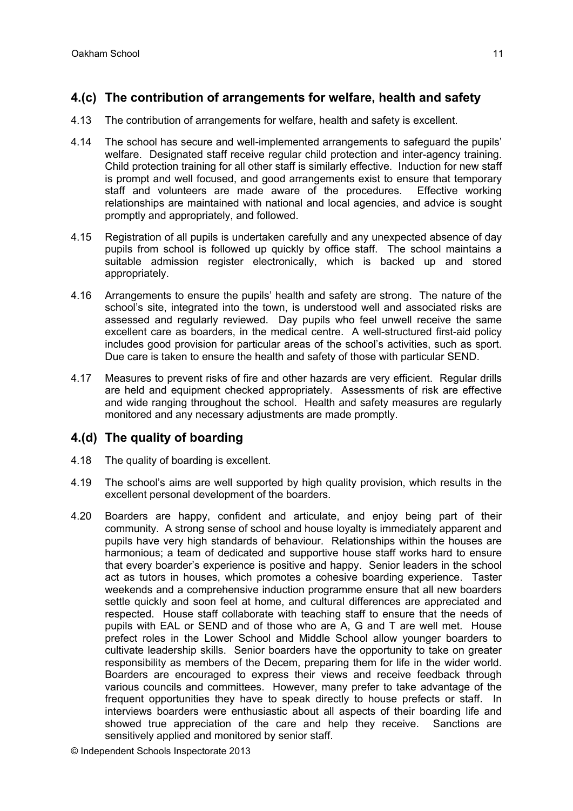# **4.(c) The contribution of arrangements for welfare, health and safety**

- 4.13 The contribution of arrangements for welfare, health and safety is excellent.
- 4.14 The school has secure and well-implemented arrangements to safeguard the pupils' welfare. Designated staff receive regular child protection and inter-agency training. Child protection training for all other staff is similarly effective. Induction for new staff is prompt and well focused, and good arrangements exist to ensure that temporary staff and volunteers are made aware of the procedures. Effective working relationships are maintained with national and local agencies, and advice is sought promptly and appropriately, and followed.
- 4.15 Registration of all pupils is undertaken carefully and any unexpected absence of day pupils from school is followed up quickly by office staff. The school maintains a suitable admission register electronically, which is backed up and stored appropriately.
- 4.16 Arrangements to ensure the pupils' health and safety are strong. The nature of the school's site, integrated into the town, is understood well and associated risks are assessed and regularly reviewed. Day pupils who feel unwell receive the same excellent care as boarders, in the medical centre. A well-structured first-aid policy includes good provision for particular areas of the school's activities, such as sport. Due care is taken to ensure the health and safety of those with particular SEND.
- 4.17 Measures to prevent risks of fire and other hazards are very efficient. Regular drills are held and equipment checked appropriately. Assessments of risk are effective and wide ranging throughout the school. Health and safety measures are regularly monitored and any necessary adjustments are made promptly.

### **4.(d) The quality of boarding**

- 4.18 The quality of boarding is excellent.
- 4.19 The school's aims are well supported by high quality provision, which results in the excellent personal development of the boarders.
- 4.20 Boarders are happy, confident and articulate, and enjoy being part of their community. A strong sense of school and house loyalty is immediately apparent and pupils have very high standards of behaviour. Relationships within the houses are harmonious; a team of dedicated and supportive house staff works hard to ensure that every boarder's experience is positive and happy. Senior leaders in the school act as tutors in houses, which promotes a cohesive boarding experience. Taster weekends and a comprehensive induction programme ensure that all new boarders settle quickly and soon feel at home, and cultural differences are appreciated and respected. House staff collaborate with teaching staff to ensure that the needs of pupils with EAL or SEND and of those who are A, G and T are well met. House prefect roles in the Lower School and Middle School allow younger boarders to cultivate leadership skills. Senior boarders have the opportunity to take on greater responsibility as members of the Decem, preparing them for life in the wider world. Boarders are encouraged to express their views and receive feedback through various councils and committees. However, many prefer to take advantage of the frequent opportunities they have to speak directly to house prefects or staff. In interviews boarders were enthusiastic about all aspects of their boarding life and showed true appreciation of the care and help they receive. Sanctions are sensitively applied and monitored by senior staff.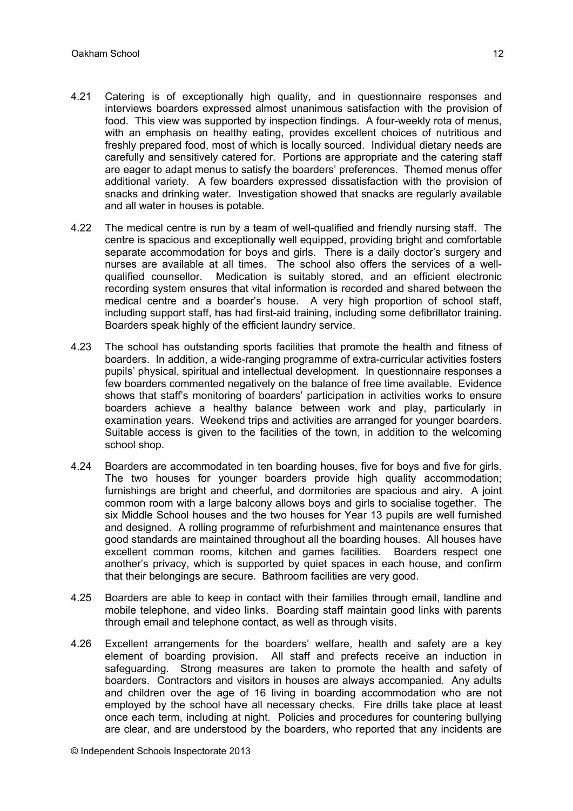- 4.21 Catering is of exceptionally high quality, and in questionnaire responses and interviews boarders expressed almost unanimous satisfaction with the provision of food. This view was supported by inspection findings. A four-weekly rota of menus, with an emphasis on healthy eating, provides excellent choices of nutritious and freshly prepared food, most of which is locally sourced. Individual dietary needs are carefully and sensitively catered for. Portions are appropriate and the catering staff are eager to adapt menus to satisfy the boarders' preferences. Themed menus offer additional variety. A few boarders expressed dissatisfaction with the provision of snacks and drinking water. Investigation showed that snacks are regularly available and all water in houses is potable.
- 4.22 The medical centre is run by a team of well-qualified and friendly nursing staff. The centre is spacious and exceptionally well equipped, providing bright and comfortable separate accommodation for boys and girls. There is a daily doctor's surgery and nurses are available at all times. The school also offers the services of a wellqualified counsellor. Medication is suitably stored, and an efficient electronic recording system ensures that vital information is recorded and shared between the medical centre and a boarder's house. A very high proportion of school staff, including support staff, has had first-aid training, including some defibrillator training. Boarders speak highly of the efficient laundry service.
- 4.23 The school has outstanding sports facilities that promote the health and fitness of boarders. In addition, a wide-ranging programme of extra-curricular activities fosters pupils' physical, spiritual and intellectual development. In questionnaire responses a few boarders commented negatively on the balance of free time available. Evidence shows that staff's monitoring of boarders' participation in activities works to ensure boarders achieve a healthy balance between work and play, particularly in examination years. Weekend trips and activities are arranged for younger boarders. Suitable access is given to the facilities of the town, in addition to the welcoming school shop.
- 4.24 Boarders are accommodated in ten boarding houses, five for boys and five for girls. The two houses for younger boarders provide high quality accommodation; furnishings are bright and cheerful, and dormitories are spacious and airy. A joint common room with a large balcony allows boys and girls to socialise together. The six Middle School houses and the two houses for Year 13 pupils are well furnished and designed. A rolling programme of refurbishment and maintenance ensures that good standards are maintained throughout all the boarding houses. All houses have excellent common rooms, kitchen and games facilities. Boarders respect one another's privacy, which is supported by quiet spaces in each house, and confirm that their belongings are secure. Bathroom facilities are very good.
- 4.25 Boarders are able to keep in contact with their families through email, landline and mobile telephone, and video links. Boarding staff maintain good links with parents through email and telephone contact, as well as through visits.
- 4.26 Excellent arrangements for the boarders' welfare, health and safety are a key element of boarding provision. All staff and prefects receive an induction in safeguarding. Strong measures are taken to promote the health and safety of boarders. Contractors and visitors in houses are always accompanied. Any adults and children over the age of 16 living in boarding accommodation who are not employed by the school have all necessary checks. Fire drills take place at least once each term, including at night. Policies and procedures for countering bullying are clear, and are understood by the boarders, who reported that any incidents are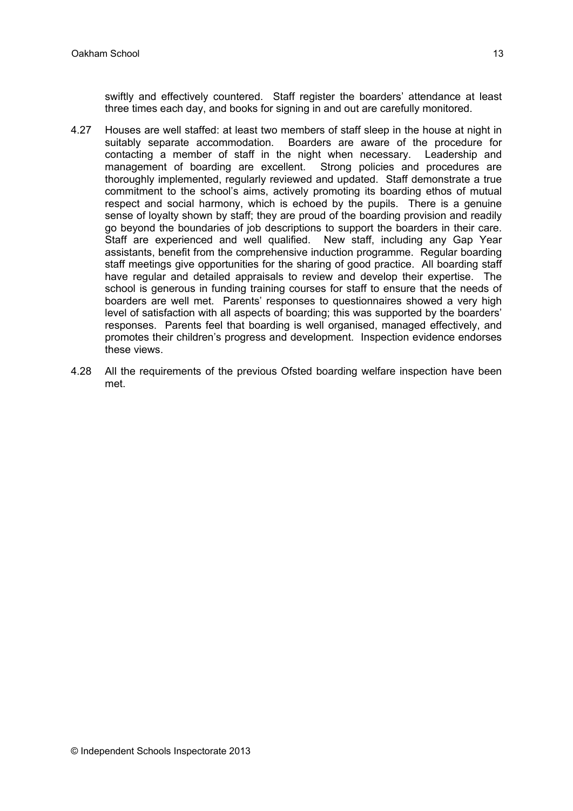swiftly and effectively countered. Staff register the boarders' attendance at least three times each day, and books for signing in and out are carefully monitored.

- 4.27 Houses are well staffed: at least two members of staff sleep in the house at night in suitably separate accommodation. Boarders are aware of the procedure for contacting a member of staff in the night when necessary. Leadership and management of boarding are excellent. Strong policies and procedures are thoroughly implemented, regularly reviewed and updated. Staff demonstrate a true commitment to the school's aims, actively promoting its boarding ethos of mutual respect and social harmony, which is echoed by the pupils. There is a genuine sense of loyalty shown by staff; they are proud of the boarding provision and readily go beyond the boundaries of job descriptions to support the boarders in their care. Staff are experienced and well qualified. New staff, including any Gap Year assistants, benefit from the comprehensive induction programme. Regular boarding staff meetings give opportunities for the sharing of good practice. All boarding staff have regular and detailed appraisals to review and develop their expertise. The school is generous in funding training courses for staff to ensure that the needs of boarders are well met. Parents' responses to questionnaires showed a very high level of satisfaction with all aspects of boarding; this was supported by the boarders' responses. Parents feel that boarding is well organised, managed effectively, and promotes their children's progress and development. Inspection evidence endorses these views.
- 4.28 All the requirements of the previous Ofsted boarding welfare inspection have been met.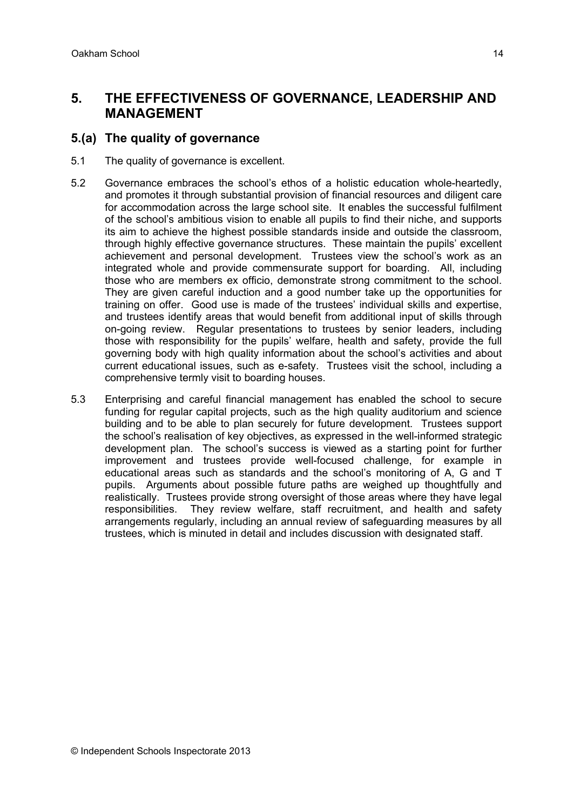# **5. THE EFFECTIVENESS OF GOVERNANCE, LEADERSHIP AND MANAGEMENT**

#### **5.(a) The quality of governance**

- 5.1 The quality of governance is excellent.
- 5.2 Governance embraces the school's ethos of a holistic education whole-heartedly, and promotes it through substantial provision of financial resources and diligent care for accommodation across the large school site. It enables the successful fulfilment of the school's ambitious vision to enable all pupils to find their niche, and supports its aim to achieve the highest possible standards inside and outside the classroom, through highly effective governance structures. These maintain the pupils' excellent achievement and personal development. Trustees view the school's work as an integrated whole and provide commensurate support for boarding. All, including those who are members ex officio, demonstrate strong commitment to the school. They are given careful induction and a good number take up the opportunities for training on offer. Good use is made of the trustees' individual skills and expertise, and trustees identify areas that would benefit from additional input of skills through on-going review. Regular presentations to trustees by senior leaders, including those with responsibility for the pupils' welfare, health and safety, provide the full governing body with high quality information about the school's activities and about current educational issues, such as e-safety. Trustees visit the school, including a comprehensive termly visit to boarding houses.
- 5.3 Enterprising and careful financial management has enabled the school to secure funding for regular capital projects, such as the high quality auditorium and science building and to be able to plan securely for future development. Trustees support the school's realisation of key objectives, as expressed in the well-informed strategic development plan. The school's success is viewed as a starting point for further improvement and trustees provide well-focused challenge, for example in educational areas such as standards and the school's monitoring of A, G and T pupils. Arguments about possible future paths are weighed up thoughtfully and realistically. Trustees provide strong oversight of those areas where they have legal responsibilities. They review welfare, staff recruitment, and health and safety arrangements regularly, including an annual review of safeguarding measures by all trustees, which is minuted in detail and includes discussion with designated staff.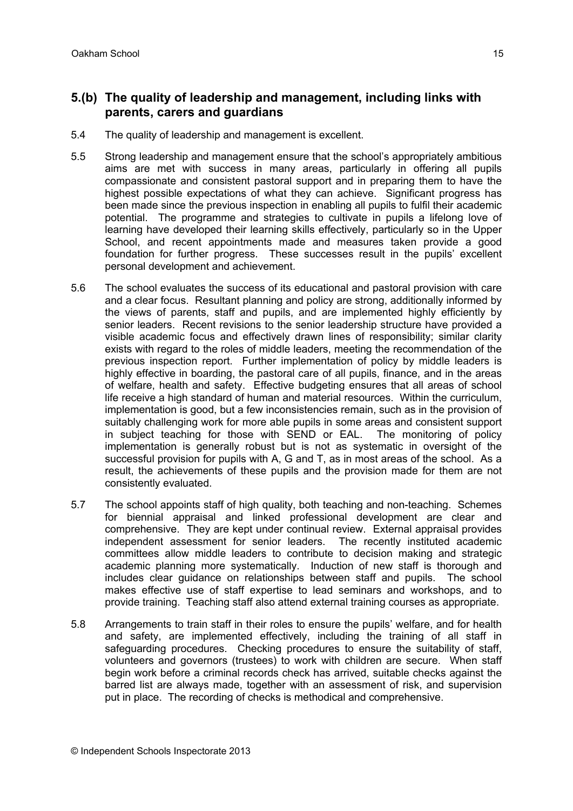### **5.(b) The quality of leadership and management, including links with parents, carers and guardians**

- 5.4 The quality of leadership and management is excellent.
- 5.5 Strong leadership and management ensure that the school's appropriately ambitious aims are met with success in many areas, particularly in offering all pupils compassionate and consistent pastoral support and in preparing them to have the highest possible expectations of what they can achieve. Significant progress has been made since the previous inspection in enabling all pupils to fulfil their academic potential. The programme and strategies to cultivate in pupils a lifelong love of learning have developed their learning skills effectively, particularly so in the Upper School, and recent appointments made and measures taken provide a good foundation for further progress. These successes result in the pupils' excellent personal development and achievement.
- 5.6 The school evaluates the success of its educational and pastoral provision with care and a clear focus. Resultant planning and policy are strong, additionally informed by the views of parents, staff and pupils, and are implemented highly efficiently by senior leaders. Recent revisions to the senior leadership structure have provided a visible academic focus and effectively drawn lines of responsibility; similar clarity exists with regard to the roles of middle leaders, meeting the recommendation of the previous inspection report. Further implementation of policy by middle leaders is highly effective in boarding, the pastoral care of all pupils, finance, and in the areas of welfare, health and safety. Effective budgeting ensures that all areas of school life receive a high standard of human and material resources. Within the curriculum, implementation is good, but a few inconsistencies remain, such as in the provision of suitably challenging work for more able pupils in some areas and consistent support in subject teaching for those with SEND or EAL. The monitoring of policy implementation is generally robust but is not as systematic in oversight of the successful provision for pupils with A, G and T, as in most areas of the school. As a result, the achievements of these pupils and the provision made for them are not consistently evaluated.
- 5.7 The school appoints staff of high quality, both teaching and non-teaching. Schemes for biennial appraisal and linked professional development are clear and comprehensive. They are kept under continual review. External appraisal provides independent assessment for senior leaders. The recently instituted academic committees allow middle leaders to contribute to decision making and strategic academic planning more systematically. Induction of new staff is thorough and includes clear guidance on relationships between staff and pupils. The school makes effective use of staff expertise to lead seminars and workshops, and to provide training. Teaching staff also attend external training courses as appropriate.
- 5.8 Arrangements to train staff in their roles to ensure the pupils' welfare, and for health and safety, are implemented effectively, including the training of all staff in safeguarding procedures. Checking procedures to ensure the suitability of staff, volunteers and governors (trustees) to work with children are secure. When staff begin work before a criminal records check has arrived, suitable checks against the barred list are always made, together with an assessment of risk, and supervision put in place. The recording of checks is methodical and comprehensive.